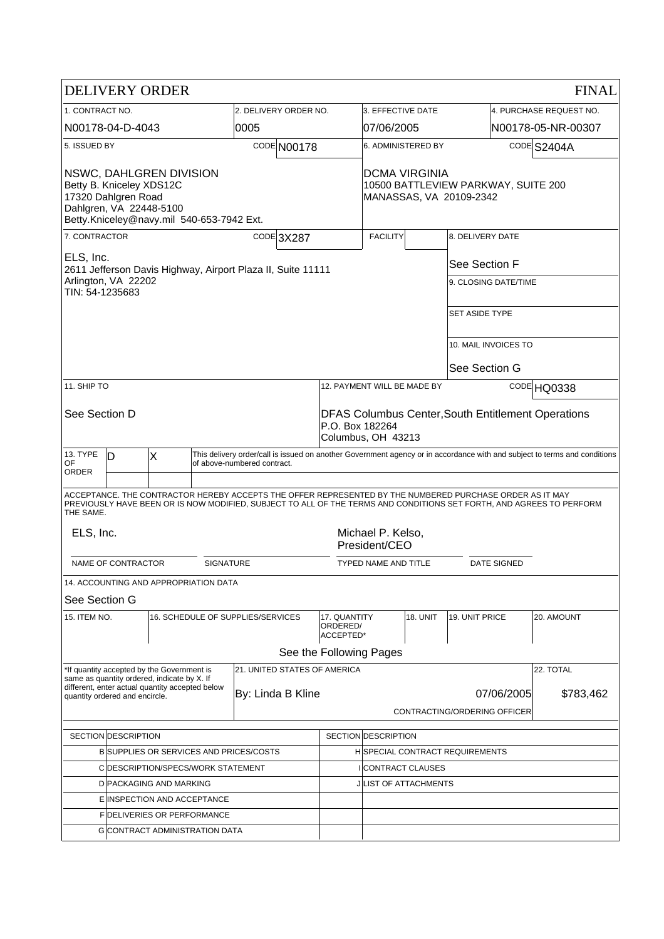| <b>DELIVERY ORDER</b>                                                                                                                              |              |                                                                                           |                                                                      |                                                                                 |                                       |                                                                                                    |                                                               |                |                                                                                                          |                         | <b>FINAL</b>                                                                                                              |  |
|----------------------------------------------------------------------------------------------------------------------------------------------------|--------------|-------------------------------------------------------------------------------------------|----------------------------------------------------------------------|---------------------------------------------------------------------------------|---------------------------------------|----------------------------------------------------------------------------------------------------|---------------------------------------------------------------|----------------|----------------------------------------------------------------------------------------------------------|-------------------------|---------------------------------------------------------------------------------------------------------------------------|--|
| 1. CONTRACT NO.                                                                                                                                    |              |                                                                                           | 2. DELIVERY ORDER NO.                                                |                                                                                 |                                       | 3. EFFECTIVE DATE                                                                                  |                                                               |                |                                                                                                          | 4. PURCHASE REQUEST NO. |                                                                                                                           |  |
| N00178-04-D-4043                                                                                                                                   |              |                                                                                           | 0005                                                                 |                                                                                 |                                       | 07/06/2005                                                                                         |                                                               |                | N00178-05-NR-00307                                                                                       |                         |                                                                                                                           |  |
|                                                                                                                                                    | 5. ISSUED BY |                                                                                           |                                                                      | CODE N00178                                                                     |                                       |                                                                                                    | 6. ADMINISTERED BY                                            |                |                                                                                                          | CODE S2404A             |                                                                                                                           |  |
| NSWC, DAHLGREN DIVISION<br>Betty B. Kniceley XDS12C<br>17320 Dahlgren Road<br>Dahlgren, VA 22448-5100<br>Betty.Kniceley@navy.mil 540-653-7942 Ext. |              |                                                                                           |                                                                      | DCMA VIRGINIA<br>10500 BATTLEVIEW PARKWAY, SUITE 200<br>MANASSAS, VA 20109-2342 |                                       |                                                                                                    |                                                               |                |                                                                                                          |                         |                                                                                                                           |  |
| 7. CONTRACTOR                                                                                                                                      |              |                                                                                           |                                                                      |                                                                                 | CODE 3X287                            |                                                                                                    | <b>FACILITY</b>                                               |                | 8. DELIVERY DATE                                                                                         |                         |                                                                                                                           |  |
| ELS, Inc.<br>2611 Jefferson Davis Highway, Airport Plaza II, Suite 11111                                                                           |              |                                                                                           |                                                                      | See Section F                                                                   |                                       |                                                                                                    |                                                               |                |                                                                                                          |                         |                                                                                                                           |  |
| Arlington, VA 22202<br>TIN: 54-1235683                                                                                                             |              |                                                                                           |                                                                      |                                                                                 |                                       |                                                                                                    | 9. CLOSING DATE/TIME                                          |                |                                                                                                          |                         |                                                                                                                           |  |
|                                                                                                                                                    |              |                                                                                           |                                                                      |                                                                                 |                                       |                                                                                                    | <b>SET ASIDE TYPE</b>                                         |                |                                                                                                          |                         |                                                                                                                           |  |
|                                                                                                                                                    |              |                                                                                           |                                                                      |                                                                                 |                                       |                                                                                                    | 10. MAIL INVOICES TO                                          |                |                                                                                                          |                         |                                                                                                                           |  |
|                                                                                                                                                    |              |                                                                                           |                                                                      |                                                                                 |                                       |                                                                                                    |                                                               |                |                                                                                                          | See Section G           |                                                                                                                           |  |
| 11. SHIP TO                                                                                                                                        |              |                                                                                           |                                                                      |                                                                                 |                                       |                                                                                                    | 12. PAYMENT WILL BE MADE BY                                   |                |                                                                                                          |                         | CODE HQ0338                                                                                                               |  |
| See Section D                                                                                                                                      |              |                                                                                           |                                                                      |                                                                                 |                                       | <b>DFAS Columbus Center, South Entitlement Operations</b><br>P.O. Box 182264<br>Columbus, OH 43213 |                                                               |                |                                                                                                          |                         |                                                                                                                           |  |
| 13. TYPE<br>0F                                                                                                                                     | D            | X                                                                                         |                                                                      | of above-numbered contract.                                                     |                                       |                                                                                                    |                                                               |                |                                                                                                          |                         | This delivery order/call is issued on another Government agency or in accordance with and subject to terms and conditions |  |
| ORDER                                                                                                                                              |              |                                                                                           |                                                                      |                                                                                 |                                       |                                                                                                    |                                                               |                |                                                                                                          |                         |                                                                                                                           |  |
| THE SAME.                                                                                                                                          |              |                                                                                           |                                                                      |                                                                                 |                                       |                                                                                                    |                                                               |                | ACCEPTANCE. THE CONTRACTOR HEREBY ACCEPTS THE OFFER REPRESENTED BY THE NUMBERED PURCHASE ORDER AS IT MAY |                         | PREVIOUSLY HAVE BEEN OR IS NOW MODIFIED, SUBJECT TO ALL OF THE TERMS AND CONDITIONS SET FORTH, AND AGREES TO PERFORM      |  |
| ELS, Inc.<br>Michael P. Kelso,<br>President/CEO                                                                                                    |              |                                                                                           |                                                                      |                                                                                 |                                       |                                                                                                    |                                                               |                |                                                                                                          |                         |                                                                                                                           |  |
| NAME OF CONTRACTOR<br><b>SIGNATURE</b>                                                                                                             |              |                                                                                           |                                                                      |                                                                                 |                                       | <b>DATE SIGNED</b><br>TYPED NAME AND TITLE                                                         |                                                               |                |                                                                                                          |                         |                                                                                                                           |  |
|                                                                                                                                                    |              | 14. ACCOUNTING AND APPROPRIATION DATA                                                     |                                                                      |                                                                                 |                                       |                                                                                                    |                                                               |                |                                                                                                          |                         |                                                                                                                           |  |
| See Section G                                                                                                                                      |              |                                                                                           |                                                                      |                                                                                 |                                       |                                                                                                    |                                                               |                |                                                                                                          |                         |                                                                                                                           |  |
| 15. ITEM NO.                                                                                                                                       |              | 16. SCHEDULE OF SUPPLIES/SERVICES                                                         |                                                                      |                                                                                 | 17. QUANTITY<br>ORDERED/<br>ACCEPTED* |                                                                                                    | 18. UNIT                                                      | 19. UNIT PRICE |                                                                                                          | 20. AMOUNT              |                                                                                                                           |  |
|                                                                                                                                                    |              |                                                                                           |                                                                      |                                                                                 |                                       | See the Following Pages                                                                            |                                                               |                |                                                                                                          |                         |                                                                                                                           |  |
|                                                                                                                                                    |              | *If quantity accepted by the Government is<br>same as quantity ordered, indicate by X. If |                                                                      |                                                                                 |                                       | 21. UNITED STATES OF AMERICA                                                                       |                                                               |                |                                                                                                          |                         | 22. TOTAL                                                                                                                 |  |
| quantity ordered and encircle.                                                                                                                     |              |                                                                                           | different, enter actual quantity accepted below<br>By: Linda B Kline |                                                                                 |                                       |                                                                                                    |                                                               |                |                                                                                                          | 07/06/2005              | \$783,462                                                                                                                 |  |
|                                                                                                                                                    |              |                                                                                           |                                                                      |                                                                                 |                                       |                                                                                                    |                                                               |                | CONTRACTING/ORDERING OFFICER                                                                             |                         |                                                                                                                           |  |
|                                                                                                                                                    |              |                                                                                           |                                                                      |                                                                                 |                                       |                                                                                                    |                                                               |                |                                                                                                          |                         |                                                                                                                           |  |
| SECTION DESCRIPTION<br><b>BISUPPLIES OR SERVICES AND PRICES/COSTS</b>                                                                              |              |                                                                                           |                                                                      |                                                                                 |                                       |                                                                                                    | SECTION DESCRIPTION<br><b>HISPECIAL CONTRACT REQUIREMENTS</b> |                |                                                                                                          |                         |                                                                                                                           |  |
| C DESCRIPTION/SPECS/WORK STATEMENT                                                                                                                 |              |                                                                                           |                                                                      |                                                                                 |                                       | I CONTRACT CLAUSES                                                                                 |                                                               |                |                                                                                                          |                         |                                                                                                                           |  |
| D PACKAGING AND MARKING                                                                                                                            |              |                                                                                           |                                                                      |                                                                                 |                                       |                                                                                                    | <b>JILIST OF ATTACHMENTS</b>                                  |                |                                                                                                          |                         |                                                                                                                           |  |
| E INSPECTION AND ACCEPTANCE                                                                                                                        |              |                                                                                           |                                                                      |                                                                                 |                                       |                                                                                                    |                                                               |                |                                                                                                          |                         |                                                                                                                           |  |
| <b>FIDELIVERIES OR PERFORMANCE</b>                                                                                                                 |              |                                                                                           |                                                                      |                                                                                 |                                       |                                                                                                    |                                                               |                |                                                                                                          |                         |                                                                                                                           |  |
| <b>GICONTRACT ADMINISTRATION DATA</b>                                                                                                              |              |                                                                                           |                                                                      |                                                                                 |                                       |                                                                                                    |                                                               |                |                                                                                                          |                         |                                                                                                                           |  |